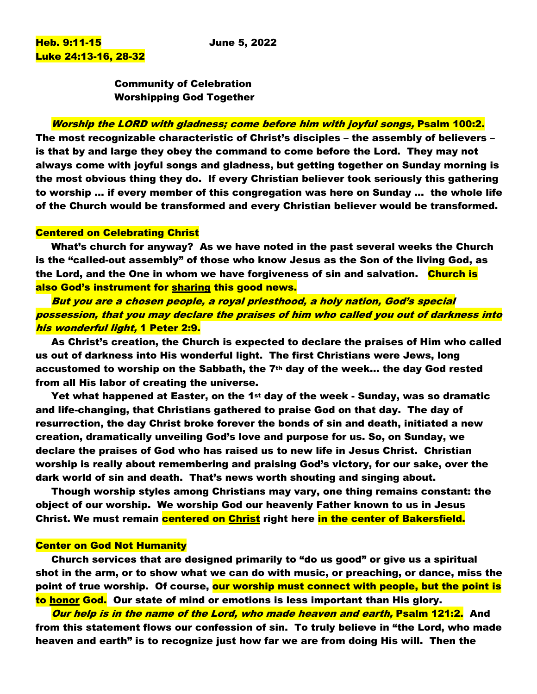Community of Celebration Worshipping God Together

# Worship the LORD with gladness; come before him with joyful songs, Psalm 100:2.

The most recognizable characteristic of Christ's disciples – the assembly of believers – is that by and large they obey the command to come before the Lord. They may not always come with joyful songs and gladness, but getting together on Sunday morning is the most obvious thing they do. If every Christian believer took seriously this gathering to worship … if every member of this congregation was here on Sunday … the whole life of the Church would be transformed and every Christian believer would be transformed.

### Centered on Celebrating Christ

What's church for anyway? As we have noted in the past several weeks the Church is the "called-out assembly" of those who know Jesus as the Son of the living God, as the Lord, and the One in whom we have forgiveness of sin and salvation. Church is also God's instrument for sharing this good news.

But you are a chosen people, a royal priesthood, a holy nation, God's special possession, that you may declare the praises of him who called you out of darkness into his wonderful light, 1 Peter 2:9.

As Christ's creation, the Church is expected to declare the praises of Him who called us out of darkness into His wonderful light. The first Christians were Jews, long accustomed to worship on the Sabbath, the 7th day of the week… the day God rested from all His labor of creating the universe.

Yet what happened at Easter, on the 1st day of the week - Sunday, was so dramatic and life-changing, that Christians gathered to praise God on that day. The day of resurrection, the day Christ broke forever the bonds of sin and death, initiated a new creation, dramatically unveiling God's love and purpose for us. So, on Sunday, we declare the praises of God who has raised us to new life in Jesus Christ. Christian worship is really about remembering and praising God's victory, for our sake, over the dark world of sin and death. That's news worth shouting and singing about.

Though worship styles among Christians may vary, one thing remains constant: the object of our worship. We worship God our heavenly Father known to us in Jesus Christ. We must remain centered on Christ right here in the center of Bakersfield.

# Center on God Not Humanity

Church services that are designed primarily to "do us good" or give us a spiritual shot in the arm, or to show what we can do with music, or preaching, or dance, miss the point of true worship. Of course, <mark>our worship must connect with people, but the point is</mark> to honor God. Our state of mind or emotions is less important than His glory.

Our help is in the name of the Lord, who made heaven and earth, Psalm 121:2. And from this statement flows our confession of sin. To truly believe in "the Lord, who made heaven and earth" is to recognize just how far we are from doing His will. Then the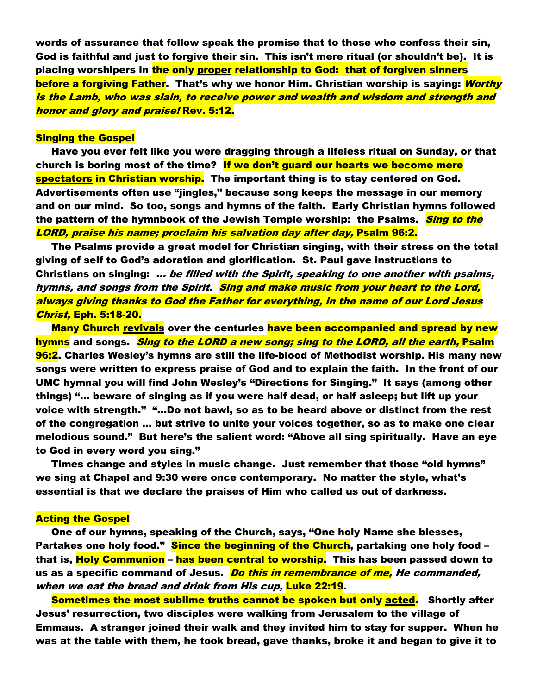words of assurance that follow speak the promise that to those who confess their sin, God is faithful and just to forgive their sin. This isn't mere ritual (or shouldn't be). It is placing worshipers in the only proper relationship to God: that of forgiven sinners before a forgiving Father. That's why we honor Him. Christian worship is saying: <mark>Worthy</mark> is the Lamb, who was slain, to receive power and wealth and wisdom and strength and honor and glory and praise! Rev. 5:12.

#### Singing the Gospel

Have you ever felt like you were dragging through a lifeless ritual on Sunday, or that church is boring most of the time? If we don't guard our hearts we become mere spectators in Christian worship. The important thing is to stay centered on God. Advertisements often use "jingles," because song keeps the message in our memory and on our mind. So too, songs and hymns of the faith. Early Christian hymns followed the pattern of the hymnbook of the Jewish Temple worship: the Psalms. *Sing to the* LORD, praise his name; proclaim his salvation day after day, Psalm 96:2.

The Psalms provide a great model for Christian singing, with their stress on the total giving of self to God's adoration and glorification. St. Paul gave instructions to Christians on singing: ... be filled with the Spirit, speaking to one another with psalms, hymns, and songs from the Spirit. Sing and make music from your heart to the Lord, always giving thanks to God the Father for everything, in the name of our Lord Jesus Christ, Eph. 5:18-20.

Many Church revivals over the centuries have been accompanied and spread by new hymns and songs. *Sing to the LORD a new song; sing to the LORD, all the earth,* Psalm 96:2. Charles Wesley's hymns are still the life-blood of Methodist worship. His many new songs were written to express praise of God and to explain the faith. In the front of our UMC hymnal you will find John Wesley's "Directions for Singing." It says (among other things) "… beware of singing as if you were half dead, or half asleep; but lift up your voice with strength." "…Do not bawl, so as to be heard above or distinct from the rest of the congregation ... but strive to unite your voices together, so as to make one clear melodious sound." But here's the salient word: "Above all sing spiritually. Have an eye to God in every word you sing."

Times change and styles in music change. Just remember that those "old hymns" we sing at Chapel and 9:30 were once contemporary. No matter the style, what's essential is that we declare the praises of Him who called us out of darkness.

#### Acting the Gospel

One of our hymns, speaking of the Church, says, "One holy Name she blesses, Partakes one holy food." Since the beginning of the Church, partaking one holy food – that is, Holy Communion – has been central to worship. This has been passed down to us as a specific command of Jesus. *Do this in remembrance of me, He commanded,* when we eat the bread and drink from His cup, Luke 22:19.

Sometimes the most sublime truths cannot be spoken but only acted. Shortly after Jesus' resurrection, two disciples were walking from Jerusalem to the village of Emmaus. A stranger joined their walk and they invited him to stay for supper. When he was at the table with them, he took bread, gave thanks, broke it and began to give it to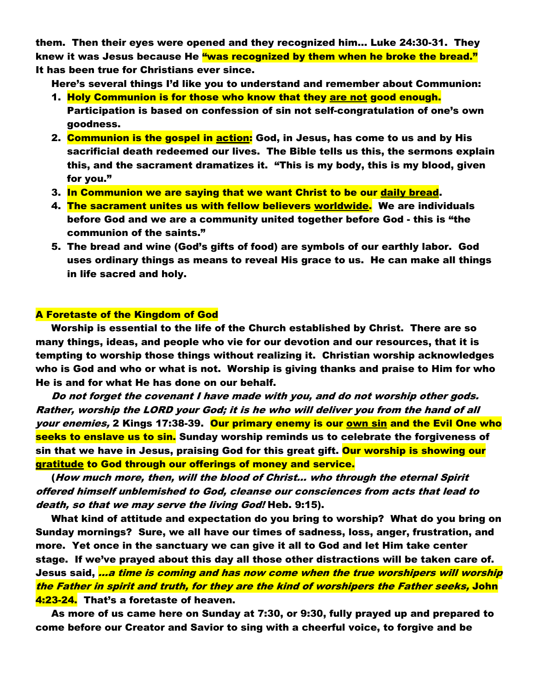them. Then their eyes were opened and they recognized him… Luke 24:30-31. They knew it was Jesus because He "was recognized by them when he broke the bread." It has been true for Christians ever since.

Here's several things I'd like you to understand and remember about Communion:

- 1. Holy Communion is for those who know that they are not good enough. Participation is based on confession of sin not self-congratulation of one's own goodness.
- 2. Communion is the gospel in action: God, in Jesus, has come to us and by His sacrificial death redeemed our lives. The Bible tells us this, the sermons explain this, and the sacrament dramatizes it. "This is my body, this is my blood, given for you."
- 3. In Communion we are saying that we want Christ to be our daily bread.
- 4. The sacrament unites us with fellow believers worldwide. We are individuals before God and we are a community united together before God - this is "the communion of the saints."
- 5. The bread and wine (God's gifts of food) are symbols of our earthly labor. God uses ordinary things as means to reveal His grace to us. He can make all things in life sacred and holy.

# A Foretaste of the Kingdom of God

Worship is essential to the life of the Church established by Christ. There are so many things, ideas, and people who vie for our devotion and our resources, that it is tempting to worship those things without realizing it. Christian worship acknowledges who is God and who or what is not. Worship is giving thanks and praise to Him for who He is and for what He has done on our behalf.

Do not forget the covenant I have made with you, and do not worship other gods. Rather, worship the LORD your God; it is he who will deliver you from the hand of all your enemies, 2 Kings 17:38-39. Dur primary enemy is our <u>own sin</u> and the Evil One who seeks to enslave us to sin. Sunday worship reminds us to celebrate the forgiveness of sin that we have in Jesus, praising God for this great gift. <mark>Our worship is showing our</mark> gratitude to God through our offerings of money and service.

(How much more, then, will the blood of Christ… who through the eternal Spirit offered himself unblemished to God, cleanse our consciences from acts that lead to death, so that we may serve the living God! Heb. 9:15).

What kind of attitude and expectation do you bring to worship? What do you bring on Sunday mornings? Sure, we all have our times of sadness, loss, anger, frustration, and more. Yet once in the sanctuary we can give it all to God and let Him take center stage. If we've prayed about this day all those other distractions will be taken care of. Jesus said, <mark>…*a time is coming and has now come when the true worshipers will worship*</mark> the Father in spirit and truth, for they are the kind of worshipers the Father seeks, John 4:23-24. That's a foretaste of heaven.

As more of us came here on Sunday at 7:30, or 9:30, fully prayed up and prepared to come before our Creator and Savior to sing with a cheerful voice, to forgive and be